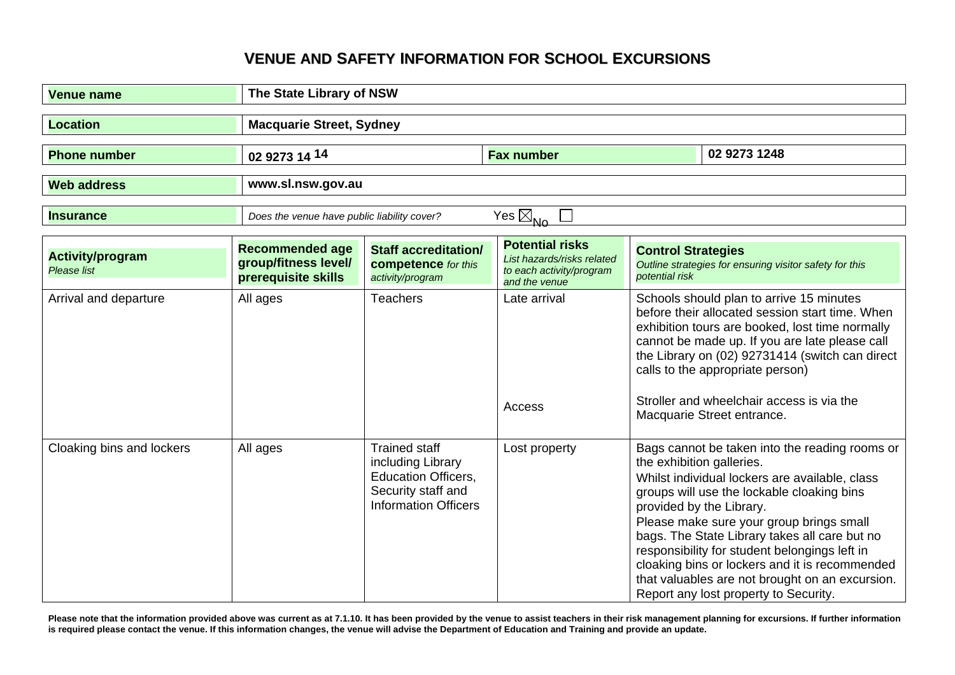## **VENUE AND SAFETY INFORMATION FOR SCHOOL EXCURSIONS**

| <b>Venue name</b>                      | The State Library of NSW                                              |                                                                                                                              |                                                                                                   |                                                                                                                                                                                                                                                                                                                                                                                                                                                                                                     |
|----------------------------------------|-----------------------------------------------------------------------|------------------------------------------------------------------------------------------------------------------------------|---------------------------------------------------------------------------------------------------|-----------------------------------------------------------------------------------------------------------------------------------------------------------------------------------------------------------------------------------------------------------------------------------------------------------------------------------------------------------------------------------------------------------------------------------------------------------------------------------------------------|
| <b>Location</b>                        | <b>Macquarie Street, Sydney</b>                                       |                                                                                                                              |                                                                                                   |                                                                                                                                                                                                                                                                                                                                                                                                                                                                                                     |
| <b>Phone number</b>                    | 02 9273 14 14                                                         |                                                                                                                              | <b>Fax number</b>                                                                                 | 02 9273 1248                                                                                                                                                                                                                                                                                                                                                                                                                                                                                        |
| <b>Web address</b>                     | www.sl.nsw.gov.au                                                     |                                                                                                                              |                                                                                                   |                                                                                                                                                                                                                                                                                                                                                                                                                                                                                                     |
| <b>Insurance</b>                       | Does the venue have public liability cover?                           |                                                                                                                              | $\overline{Yes} \boxtimes_{\mathsf{No}}$                                                          |                                                                                                                                                                                                                                                                                                                                                                                                                                                                                                     |
| <b>Activity/program</b><br>Please list | <b>Recommended age</b><br>group/fitness level/<br>prerequisite skills | <b>Staff accreditation/</b><br>competence for this<br>activity/program                                                       | <b>Potential risks</b><br>List hazards/risks related<br>to each activity/program<br>and the venue | <b>Control Strategies</b><br>Outline strategies for ensuring visitor safety for this<br>potential risk                                                                                                                                                                                                                                                                                                                                                                                              |
| Arrival and departure                  | All ages                                                              | <b>Teachers</b>                                                                                                              | Late arrival<br>Access                                                                            | Schools should plan to arrive 15 minutes<br>before their allocated session start time. When<br>exhibition tours are booked, lost time normally<br>cannot be made up. If you are late please call<br>the Library on (02) 92731414 (switch can direct<br>calls to the appropriate person)<br>Stroller and wheelchair access is via the<br>Macquarie Street entrance.                                                                                                                                  |
| Cloaking bins and lockers              | All ages                                                              | <b>Trained staff</b><br>including Library<br><b>Education Officers,</b><br>Security staff and<br><b>Information Officers</b> | Lost property                                                                                     | Bags cannot be taken into the reading rooms or<br>the exhibition galleries.<br>Whilst individual lockers are available, class<br>groups will use the lockable cloaking bins<br>provided by the Library.<br>Please make sure your group brings small<br>bags. The State Library takes all care but no<br>responsibility for student belongings left in<br>cloaking bins or lockers and it is recommended<br>that valuables are not brought on an excursion.<br>Report any lost property to Security. |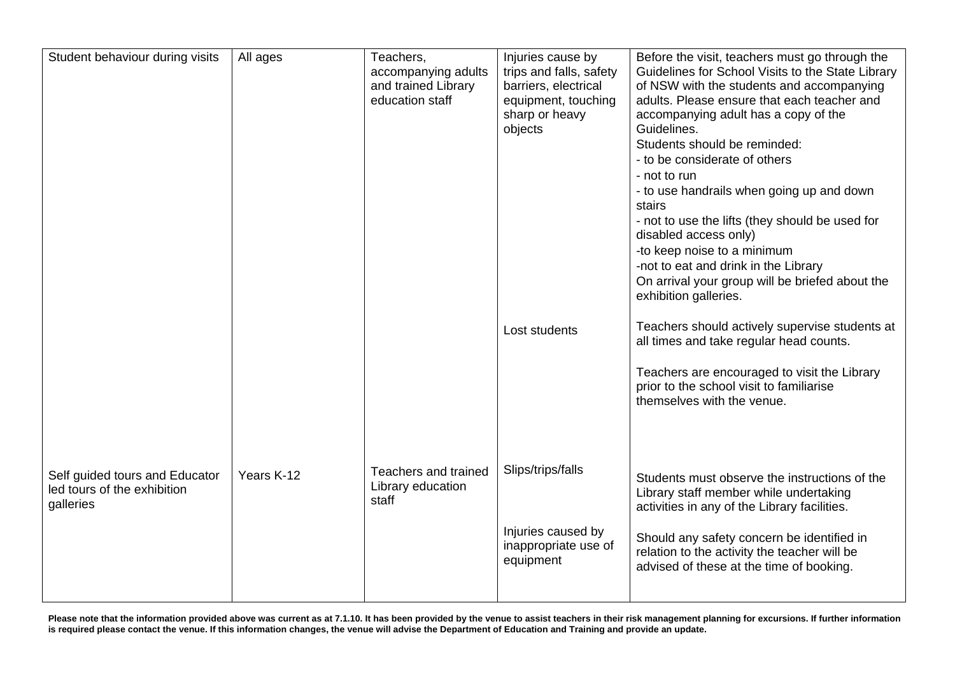| Student behaviour during visits                                            | All ages   | Teachers,<br>accompanying adults<br>and trained Library<br>education staff | Injuries cause by<br>trips and falls, safety<br>barriers, electrical<br>equipment, touching<br>sharp or heavy<br>objects | Before the visit, teachers must go through the<br>Guidelines for School Visits to the State Library<br>of NSW with the students and accompanying<br>adults. Please ensure that each teacher and<br>accompanying adult has a copy of the<br>Guidelines.<br>Students should be reminded:<br>- to be considerate of others<br>- not to run<br>- to use handrails when going up and down<br>stairs<br>- not to use the lifts (they should be used for<br>disabled access only)<br>-to keep noise to a minimum<br>-not to eat and drink in the Library<br>On arrival your group will be briefed about the<br>exhibition galleries. |
|----------------------------------------------------------------------------|------------|----------------------------------------------------------------------------|--------------------------------------------------------------------------------------------------------------------------|-------------------------------------------------------------------------------------------------------------------------------------------------------------------------------------------------------------------------------------------------------------------------------------------------------------------------------------------------------------------------------------------------------------------------------------------------------------------------------------------------------------------------------------------------------------------------------------------------------------------------------|
|                                                                            |            |                                                                            | Lost students                                                                                                            | Teachers should actively supervise students at<br>all times and take regular head counts.                                                                                                                                                                                                                                                                                                                                                                                                                                                                                                                                     |
|                                                                            |            |                                                                            |                                                                                                                          | Teachers are encouraged to visit the Library<br>prior to the school visit to familiarise<br>themselves with the venue.                                                                                                                                                                                                                                                                                                                                                                                                                                                                                                        |
| Self guided tours and Educator<br>led tours of the exhibition<br>galleries | Years K-12 | Teachers and trained<br>Library education<br>staff                         | Slips/trips/falls                                                                                                        | Students must observe the instructions of the<br>Library staff member while undertaking<br>activities in any of the Library facilities.                                                                                                                                                                                                                                                                                                                                                                                                                                                                                       |
|                                                                            |            |                                                                            | Injuries caused by<br>inappropriate use of<br>equipment                                                                  | Should any safety concern be identified in<br>relation to the activity the teacher will be<br>advised of these at the time of booking.                                                                                                                                                                                                                                                                                                                                                                                                                                                                                        |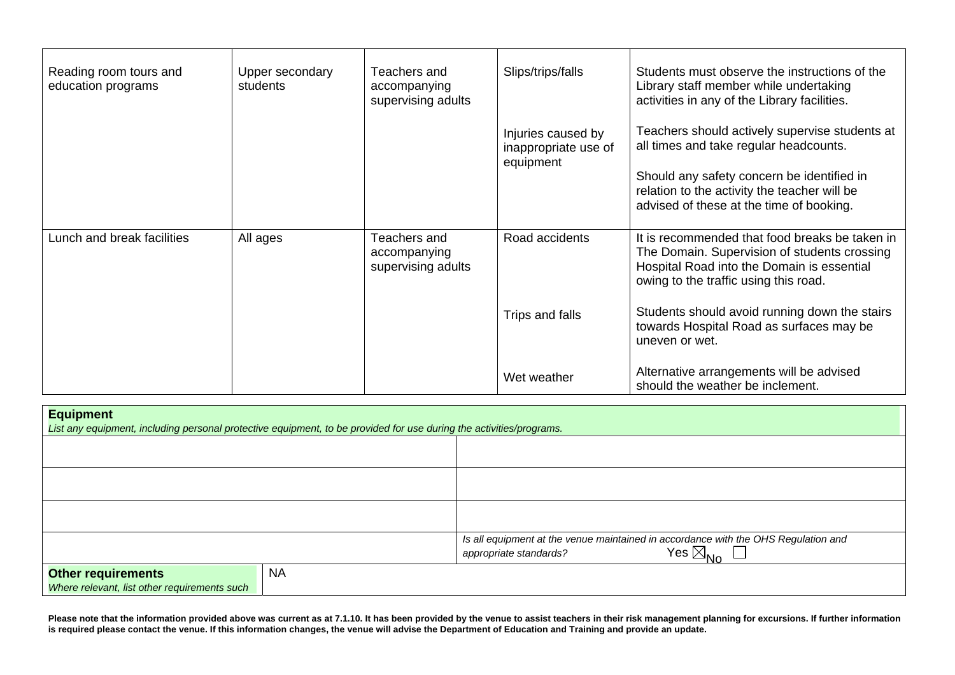| Reading room tours and<br>education programs | Upper secondary<br>students | Teachers and<br>accompanying<br>supervising adults | Slips/trips/falls                                       | Students must observe the instructions of the<br>Library staff member while undertaking<br>activities in any of the Library facilities.                                                                                            |
|----------------------------------------------|-----------------------------|----------------------------------------------------|---------------------------------------------------------|------------------------------------------------------------------------------------------------------------------------------------------------------------------------------------------------------------------------------------|
|                                              |                             |                                                    | Injuries caused by<br>inappropriate use of<br>equipment | Teachers should actively supervise students at<br>all times and take regular headcounts.<br>Should any safety concern be identified in<br>relation to the activity the teacher will be<br>advised of these at the time of booking. |
| Lunch and break facilities                   | All ages                    | Teachers and<br>accompanying<br>supervising adults | Road accidents                                          | It is recommended that food breaks be taken in<br>The Domain. Supervision of students crossing<br>Hospital Road into the Domain is essential<br>owing to the traffic using this road.                                              |
|                                              |                             |                                                    | Trips and falls                                         | Students should avoid running down the stairs<br>towards Hospital Road as surfaces may be<br>uneven or wet.                                                                                                                        |
|                                              |                             |                                                    | Wet weather                                             | Alternative arrangements will be advised<br>should the weather be inclement.                                                                                                                                                       |

| <b>Equipment</b><br>List any equipment, including personal protective equipment, to be provided for use during the activities/programs. |           |                                                                                                                                          |  |
|-----------------------------------------------------------------------------------------------------------------------------------------|-----------|------------------------------------------------------------------------------------------------------------------------------------------|--|
|                                                                                                                                         |           |                                                                                                                                          |  |
|                                                                                                                                         |           |                                                                                                                                          |  |
|                                                                                                                                         |           |                                                                                                                                          |  |
|                                                                                                                                         |           | Is all equipment at the venue maintained in accordance with the OHS Regulation and<br>Yes $\boxtimes_{\sf No}$<br>appropriate standards? |  |
| <b>Other requirements</b><br>Where relevant, list other requirements such                                                               | <b>NA</b> |                                                                                                                                          |  |